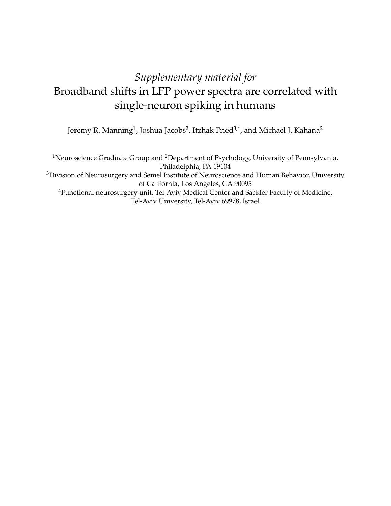# *Supplementary material for* Broadband shifts in LFP power spectra are correlated with single-neuron spiking in humans

Jeremy R. Manning<sup>1</sup>, Joshua Jacobs<sup>2</sup>, Itzhak Fried<sup>3,4</sup>, and Michael J. Kahana<sup>2</sup>

<sup>1</sup>Neuroscience Graduate Group and <sup>2</sup>Department of Psychology, University of Pennsylvania, Philadelphia, PA 19104 <sup>3</sup>Division of Neurosurgery and Semel Institute of Neuroscience and Human Behavior, University of California, Los Angeles, CA 90095 <sup>4</sup>Functional neurosurgery unit, Tel-Aviv Medical Center and Sackler Faculty of Medicine, Tel-Aviv University, Tel-Aviv 69978, Israel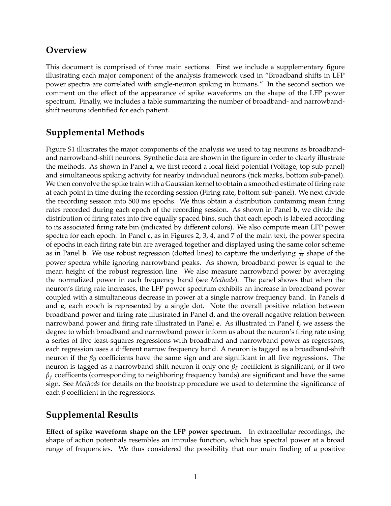#### **Overview**

This document is comprised of three main sections. First we include a supplementary figure illustrating each major component of the analysis framework used in "Broadband shifts in LFP power spectra are correlated with single-neuron spiking in humans." In the second section we comment on the effect of the appearance of spike waveforms on the shape of the LFP power spectrum. Finally, we includes a table summarizing the number of broadband- and narrowbandshift neurons identified for each patient.

# **Supplemental Methods**

Figure S1 illustrates the major components of the analysis we used to tag neurons as broadbandand narrowband-shift neurons. Synthetic data are shown in the figure in order to clearly illustrate the methods. As shown in Panel **a**, we first record a local field potential (Voltage, top sub-panel) and simultaneous spiking activity for nearby individual neurons (tick marks, bottom sub-panel). We then convolve the spike train with a Gaussian kernel to obtain a smoothed estimate of firing rate at each point in time during the recording session (Firing rate, bottom sub-panel). We next divide the recording session into 500 ms epochs. We thus obtain a distribution containing mean firing rates recorded during each epoch of the recording session. As shown in Panel **b**, we divide the distribution of firing rates into five equally spaced bins, such that each epoch is labeled according to its associated firing rate bin (indicated by different colors). We also compute mean LFP power spectra for each epoch. In Panel **c**, as in Figures 2, 3, 4, and 7 of the main text, the power spectra of epochs in each firing rate bin are averaged together and displayed using the same color scheme as in Panel **b**. We use robust regression (dotted lines) to capture the underlying  $\frac{1}{f^a}$  shape of the power spectra while ignoring narrowband peaks. As shown, broadband power is equal to the mean height of the robust regression line. We also measure narrowband power by averaging the normalized power in each frequency band (see *Methods*). The panel shows that when the neuron's firing rate increases, the LFP power spectrum exhibits an increase in broadband power coupled with a simultaneous decrease in power at a single narrow frequency band. In Panels **d** and **e**, each epoch is represented by a single dot. Note the overall positive relation between broadband power and firing rate illustrated in Panel **d**, and the overall negative relation between narrowband power and firing rate illustrated in Panel **e**. As illustrated in Panel **f**, we assess the degree to which broadband and narrowband power inform us about the neuron's firing rate using a series of five least-squares regressions with broadband and narrowband power as regressors; each regression uses a different narrow frequency band. A neuron is tagged as a broadband-shift neuron if the  $β<sub>B</sub>$  coefficients have the same sign and are significant in all five regressions. The neuron is tagged as a narrowband-shift neuron if only one β*<sup>F</sup>* coefficient is significant, or if two  $\beta_f$  coefficents (corresponding to neighboring frequency bands) are significant and have the same sign. See *Methods* for details on the bootstrap procedure we used to determine the significance of each  $\beta$  coefficient in the regressions.

## **Supplemental Results**

**E**ff**ect of spike waveform shape on the LFP power spectrum.** In extracellular recordings, the shape of action potentials resembles an impulse function, which has spectral power at a broad range of frequencies. We thus considered the possibility that our main finding of a positive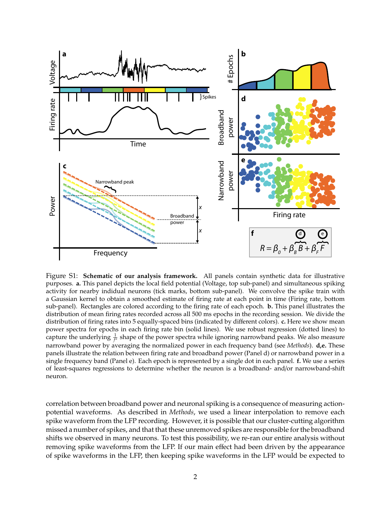

Figure S1: **Schematic of our analysis framework.** All panels contain synthetic data for illustrative purposes. **a.** This panel depicts the local field potential (Voltage, top sub-panel) and simultaneous spiking activity for nearby indidual neurons (tick marks, bottom sub-panel). We convolve the spike train with a Gaussian kernel to obtain a smoothed estimate of firing rate at each point in time (Firing rate, bottom sub-panel). Rectangles are colored according to the firing rate of each epoch. **b.** This panel illustrates the distribution of mean firing rates recorded across all 500 ms epochs in the recording session. We divide the distribution of firing rates into 5 equally-spaced bins (indicated by different colors). **c.** Here we show mean power spectra for epochs in each firing rate bin (solid lines). We use robust regression (dotted lines) to capture the underlying  $\frac{1}{f^a}$  shape of the power spectra while ignoring narrowband peaks. We also measure narrowband power by averaging the normalized power in each frequency band (see *Methods*). **d,e.** These panels illustrate the relation between firing rate and broadband power (Panel d) or narrowband power in a single frequency band (Panel e). Each epoch is represented by a single dot in each panel. **f.** We use a series of least-squares regressions to determine whether the neuron is a broadband- and/or narrowband-shift neuron.

correlation between broadband power and neuronal spiking is a consequence of measuring actionpotential waveforms. As described in *Methods*, we used a linear interpolation to remove each spike waveform from the LFP recording. However, it is possible that our cluster-cutting algorithm missed a number of spikes, and that that these unremoved spikes are responsible for the broadband shifts we observed in many neurons. To test this possibility, we re-ran our entire analysis without removing spike waveforms from the LFP. If our main effect had been driven by the appearance of spike waveforms in the LFP, then keeping spike waveforms in the LFP would be expected to